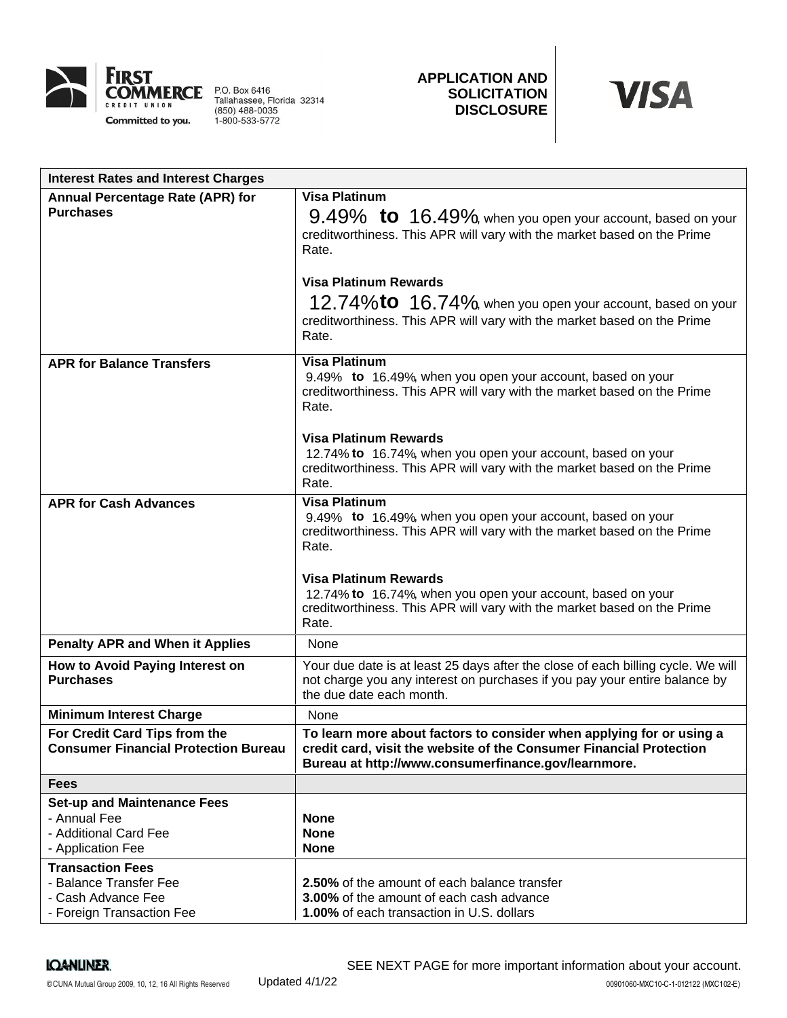

P.O. Box 6416<br>Tallahassee, Florida 32314<br>(850) 488-0035<br>1-800-533-5772

# **APPLICATION AND SOLICITATION DISCLOSURE**



| <b>Interest Rates and Interest Charges</b>  |                                                                                                                                        |
|---------------------------------------------|----------------------------------------------------------------------------------------------------------------------------------------|
| Annual Percentage Rate (APR) for            | <b>Visa Platinum</b>                                                                                                                   |
| <b>Purchases</b>                            | $9.49\%$ to $16.49\%$ , when you open your account, based on your                                                                      |
|                                             | creditworthiness. This APR will vary with the market based on the Prime                                                                |
|                                             | Rate.                                                                                                                                  |
|                                             | <b>Visa Platinum Rewards</b>                                                                                                           |
|                                             | 12.74%to 16.74%, when you open your account, based on your                                                                             |
|                                             | creditworthiness. This APR will vary with the market based on the Prime<br>Rate.                                                       |
| <b>APR for Balance Transfers</b>            | <b>Visa Platinum</b>                                                                                                                   |
|                                             | 9.49% to 16.49%, when you open your account, based on your                                                                             |
|                                             | creditworthiness. This APR will vary with the market based on the Prime<br>Rate.                                                       |
|                                             |                                                                                                                                        |
|                                             | <b>Visa Platinum Rewards</b>                                                                                                           |
|                                             | 12.74% to 16.74%, when you open your account, based on your<br>creditworthiness. This APR will vary with the market based on the Prime |
|                                             | Rate.                                                                                                                                  |
| <b>APR for Cash Advances</b>                | <b>Visa Platinum</b>                                                                                                                   |
|                                             | 9.49% to 16.49% when you open your account, based on your<br>creditworthiness. This APR will vary with the market based on the Prime   |
|                                             | Rate.                                                                                                                                  |
|                                             |                                                                                                                                        |
|                                             | <b>Visa Platinum Rewards</b>                                                                                                           |
|                                             | 12.74% to 16.74%, when you open your account, based on your<br>creditworthiness. This APR will vary with the market based on the Prime |
|                                             | Rate.                                                                                                                                  |
| <b>Penalty APR and When it Applies</b>      | None                                                                                                                                   |
| How to Avoid Paying Interest on             | Your due date is at least 25 days after the close of each billing cycle. We will                                                       |
| <b>Purchases</b>                            | not charge you any interest on purchases if you pay your entire balance by<br>the due date each month.                                 |
| <b>Minimum Interest Charge</b>              | None                                                                                                                                   |
| For Credit Card Tips from the               | To learn more about factors to consider when applying for or using a                                                                   |
| <b>Consumer Financial Protection Bureau</b> | credit card, visit the website of the Consumer Financial Protection                                                                    |
|                                             | Bureau at http://www.consumerfinance.gov/learnmore.                                                                                    |
| <b>Fees</b>                                 |                                                                                                                                        |
| <b>Set-up and Maintenance Fees</b>          |                                                                                                                                        |
| - Annual Fee<br>- Additional Card Fee       | <b>None</b><br><b>None</b>                                                                                                             |
| - Application Fee                           | <b>None</b>                                                                                                                            |
| <b>Transaction Fees</b>                     |                                                                                                                                        |
| - Balance Transfer Fee                      | 2.50% of the amount of each balance transfer                                                                                           |
| - Cash Advance Fee                          | 3.00% of the amount of each cash advance                                                                                               |
| - Foreign Transaction Fee                   | 1.00% of each transaction in U.S. dollars                                                                                              |